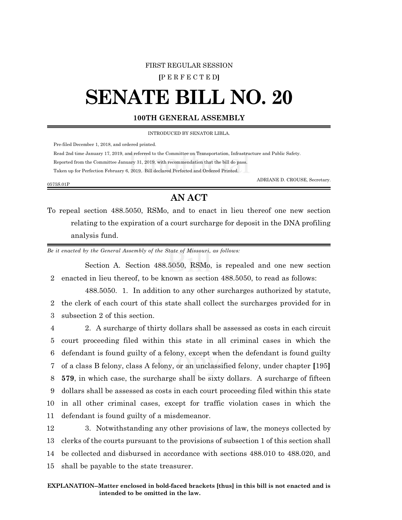### FIRST REGULAR SESSION

**[**P E R F E C T E D**]**

# **SENATE BILL NO. 20**

### **100TH GENERAL ASSEMBLY**

INTRODUCED BY SENATOR LIBLA.

Pre-filed December 1, 2018, and ordered printed.

Read 2nd time January 17, 2019, and referred to the Committee on Transportation, Infrastructure and Public Safety.

Reported from the Committee January 31, 2019, with recommendation that the bill do pass.

Taken up for Perfection February 6, 2019. Bill declared Perfected and Ordered Printed.

0575S.01P

ADRIANE D. CROUSE, Secretary.

## **AN ACT**

To repeal section 488.5050, RSMo, and to enact in lieu thereof one new section relating to the expiration of a court surcharge for deposit in the DNA profiling analysis fund.

*Be it enacted by the General Assembly of the State of Missouri, as follows:*

Section A. Section 488.5050, RSMo, is repealed and one new section 2 enacted in lieu thereof, to be known as section 488.5050, to read as follows:

488.5050. 1. In addition to any other surcharges authorized by statute, 2 the clerk of each court of this state shall collect the surcharges provided for in 3 subsection 2 of this section.

 2. A surcharge of thirty dollars shall be assessed as costs in each circuit court proceeding filed within this state in all criminal cases in which the defendant is found guilty of a felony, except when the defendant is found guilty of a class B felony, class A felony, or an unclassified felony, under chapter **[**195**] 579**, in which case, the surcharge shall be sixty dollars. A surcharge of fifteen dollars shall be assessed as costs in each court proceeding filed within this state in all other criminal cases, except for traffic violation cases in which the defendant is found guilty of a misdemeanor.

 3. Notwithstanding any other provisions of law, the moneys collected by clerks of the courts pursuant to the provisions of subsection 1 of this section shall be collected and disbursed in accordance with sections 488.010 to 488.020, and shall be payable to the state treasurer.